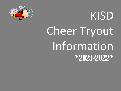

# KISD Cheer Tryout Information \*2021-2022\*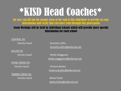# \*KISD [Head Coac](mailto:whitney.richards@kellerisd.net)hes\*

Be sure you fill out the google form at the end of this slideshow to provide us information and verify that you have read through this powerpoint

#### Zoom Meetings will be held by [individual schools which w](mailto:Victoria.butler@kellerisd.net)ill provide more specific information for each school

CENTRAL HS:

KELLER HS:

FOSSIL RIDGE HS:

TIMBER CREEK HS: Varsity Coach Alisha Fickle

Varsity Coach Dorothy Loftin Dorothy.loftin@kellerisd.net

Varsity Coach Shelly Waggoner shelly.waggoner@kellerisd.net

Varsity Coach Victoria Butler Victoria.butler@kellerisd.net

alisha.fickle@kellerisd.net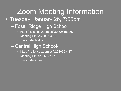### [Zoom Meeting In](https://kellerisd.zoom.us/j/2910693117)formation • Tuesday, January 26, 7:00pm

- Fossil Ridge High School
	- https://kellerisd.zoom.us/j/83328153967
	- Meeting ID: 833 2815 3967
	- Passcode: Ridge
- Central High School-
	- https://kellerisd.zoom.us/j/2910693117
	- Meeting ID: 291 069 3117
	- Passcode: Cheer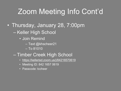## [Zoom Meeting Info](https://kellerisd.zoom.us/j/84216570619) Cont'd

- Thursday, January 28, 7:00pm
	- Keller High School
		- Join Remind
			- Text @khscheer21
			- To 81010
	- Timber Creek High School
		- https://kellerisd.zoom.us/j/84216570619
		- Meeting ID: 842 1657 0619
		- Passcode: tccheer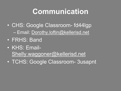## **[Communication](mailto:Shelly.waggoner@kellerisd.net)**

- CHS: Google Classroom- fd44lgp – Email: Dorothy.loftin@kellerisd.net
- FRHS: Band
- KHS: Email-Shelly.waggoner@kellerisd.net
- TCHS: Google Classroom- 3usapnt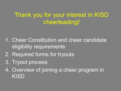#### Thank you for your interest in KISD cheerleading!

- 1. Cheer Constitution and cheer candidate eligibility requirements
- 2. Required forms for tryouts
- 3. Tryout process
- 4. Overview of joining a cheer program in KISD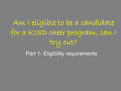Am I eligible to be a candidate for a KISD cheer program, can I try out? Part 1- Eligibility requirements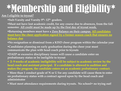# \*Membership and Eligibility\*

#### **Am I eligible to tryout?**

- §**Sub-Varsity and Varsity 9th- 12th graders.**
- §**Must not have lost academic credit, for any course due to absences, from the fall semester. All credit must be made up by the first day of tryout week.**
- §**Returning members must have a Zero Balance on their campus. All candidates must have the cheer application signed by a former season coach that ensures no balance due**
- §**No resignation or dismissal from a KISD cheer program within the calendar year**
- §**Candidates planning on early graduation during the cheer year must communicate the plan with head coach prior to tryouts**
- §**DAEP or excessive disciplinary issues will cause a candidate enter on probationary status or be ineligible to tryout**
- § **2- 9 weeks of academic ineligibility will be subject to academic review by the head coach and assistant principal. If a candidate is allowed to audition and makes the program, the candidate enters on an academic probationary contract.**
- § **More than 1 conduct grade of N or U for any candidate will cause them to enter on probationary status with a contract agreed upon by the head coach and administrator**
- § **Must meet attendance requirements during tryouts. No school= no trying out!**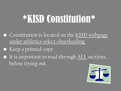# \*KISD Constitution\*

- Constitution is located on the KISD webpage under athletics select cheerleading.
- Keep a printed copy
- It is important to read through ALL sections, before trying out.

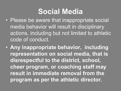### **Social Media**

- Please be aware that inappropriate social media behavior will result in disciplinary actions, including but not limited to athletic code of conduct.
- **Any inappropriate behavior, including representation on social media, that is disrespectful to the district, school, cheer program, or coaching staff may result in immediate removal from the program as per the athletic director.**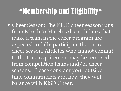## \*Membership and Eligibility\*

• Cheer Season: The KISD cheer season runs from March to March. All candidates that make a team in the cheer program are expected to fully participate the entire cheer season. Athletes who cannot commit to the time requirement may be removed from competition teams and/or cheer seasons. Please consider your outside time commitments and how they will balance with KISD Cheer.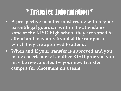## \*Transfer Information\*

- **A prospective member must reside with his/her parent/legal guardian within the attendance zone of the KISD high school they are zoned to attend and may only tryout at the campus of which they are approved to attend.**
- **When and if your transfer is approved and you made cheerleader at another KISD program you may be re-evaluated by your new transfer campus for placement on a team.**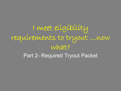I meet eligibility requirements to tryout …now what? Part 2- Required Tryout Packet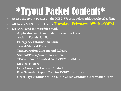# \*Tryout Packet Contents\*

- § **Access the tryout packet on the KISD Website select athletics/cheerleading**
- § **All forms MUST be on file by Tuesday, February 16th @ 4:00PM**
- § **Do NOT send in interoffice mail!**
	- § **Application and Candidate Information Form**
	- § **Activity Permission Form**
	- § **Emergency Information Form**
	- § **Travel/Medical Form**
	- § **Transportation Consent and Release**
	- § **Student/Parent/Guardian Contract**
	- § **TWO copies of Physical for EVERY candidate**
	- § **Medical History**
	- § **Extra Curricular Code of Conduct**
	- § **First Semester Report Card for EVERY candidate**
	- § **Order Tryout Shirts Online-KISD Cheer Candidate Information Form**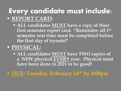### **Every candidate must include:** § **REPORT CARD:**

§ **ALL candidates MUST have a copy of their first semester report card. \*Reminder: all 1st semester seat time must be completed before the first day of tryouts!\***

#### § **PHYSICAL:**

§ **ALL candidates MUST have TWO copies of a NEW physical EVERY year. Physical must have been done in 2021 to be good!**

§ **DUE: Tuesday, February 16th by 4:00pm**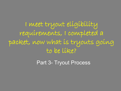I meet tryout eligibility requirements, I completed a packet, now what is tryouts going to be like?

Part 3- Tryout Process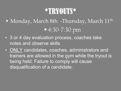## \*TRYOUTS\*

- Monday, March 8th -Thursday, March 11<sup>th</sup> § 4:30-7:30 pm
- 3 or 4 day evaluation process, coaches take notes and observe skills
- ONLY candidates, coaches, administrators and trainers are allowed in the gym while the tryout is being held. Failure to comply will cause disqualification of a candidate.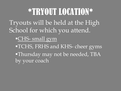\*TRYOUT LOCATION\* Tryouts will be held at the High School for which you attend. §CHS- small gym §TCHS, FRHS and KHS- cheer gyms •Thursday may not be needed, TBA by your coach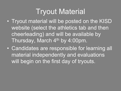### Tryout Material

- Tryout material will be posted on the KISD website (select the athletics tab and then cheerleading) and will be available by Thursday, March 4<sup>th</sup> by 4:00pm.
- Candidates are responsible for learning all material independently and evaluations will begin on the first day of tryouts.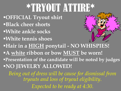# \*TRYOUT ATTIRE\*

§**OFFICIAL Tryout shirt**  §**Black cheer shorts**  §**White ankle socks** §**White tennis shoes** §**Hair in a HIGH ponytail - NO WHISPIES!** §**A white ribbon or bow MUST be worn!** §**Presentation of the candidate will be noted by judges** §**NO JEWELRY ALLOWED!**

*Being out of dress will be cause for dismissal from tryouts and loss of tryout eligibility. Expected to be ready at 4:30.*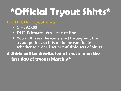# **\*Official Tryout Shirts\***

#### § **OFFICIAL Tryout shirts:**

- § **Cost \$25.00**
- § **DUE February 16th - pay online**
- § **You will wear the same shirt throughout the tryout period, so it is up to the candidate whether to order 1 set or multiple sets of shirts.**
- **• Shirts will be distributed at check in on the first day of tryouts March 8th**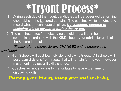# \*Tryout Process\*

- 1. During each day of the tryout, candidates will be observed performing cheer skills in the **8** scored domains. The coaches will take notes and record what the candidate displays. *No coaching, spotting or assisting will be permitted during the try out.*
- 2. The coaches notes from observing candidates will then be scored in accordance with the KISD cheer tryout rubrics for each of the 8 scored domains.

*(Please refer to rubrics for any CHANGES and to prepare as a candidate)*

- 3. High Schools will post team divisions following tryouts. All schools will post team divisions from tryouts that will remain for the year, however movement may occur if skills change.
- 4. Coaches will not stay late for candidates to have extra time for displaying skills.

**Display your best by being your best each day.**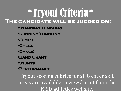## \*Tryout Criteria\* **The candidate will be judged on:**

- §**Standing Tumbling**
- §**Running Tumbling**
- §**Jumps**
- §**Cheer**
- §**Dance**
- §**Band Chant**
- §**Stunts**
- §**Performance**

Tryout scoring rubrics for all 8 cheer skill areas are available to view/ print from the KISD athletics website.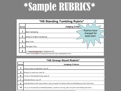# \*Sample RUBRICS\*

| *HS Standing Tumbling Rubric* |                                                       |  |
|-------------------------------|-------------------------------------------------------|--|
| <b>Score</b>                  | <b>Judging Criter</b>                                 |  |
|                               | <b>Rubrics have</b><br>Back handspring<br>changed for |  |
| 2                             | 2020-2021<br>Series (2-3) Back handspring             |  |
| 3                             | <b>Back Tuck</b>                                      |  |
| 4                             | <b>Toe-back Tuck</b>                                  |  |
| 5                             | 1-3 backhandsprings to a layout or full               |  |

#### **\*HS Group Stunt Rubric\***

| <b>Score</b> | <b>Judging Criteria</b>                                                                                   |
|--------------|-----------------------------------------------------------------------------------------------------------|
| $\mathbf{2}$ | Prep to press up extension, pop off                                                                       |
| 4            | Straight up extension, pop off                                                                            |
| 6            | Full up or full around to prep, pop off                                                                   |
|              | Extended liberty, pop off                                                                                 |
| 8            | Extended liberty with body position, plus one point for twisting dismount (twisting pop off or full down) |
| 10           | Full up or full around to extended position, switch to one leg, plus one point with twisting dismount     |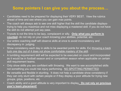#### **Some pointers I can give you about the process…**

- Candidates need to be prepared for displaying their VERY BEST. View the rubrics ahead of time and see where you can gain max points.
- The coach will always ask to see one skill higher that the skill the candidate displaystrying to help you maximize and not miss displaying a mastered skill. If you do not have the skill do not attempt just say pass.
- Tryouts is not the time to be lazy, complacent or silly. **Only what you perform is counted**- do not rely on your coach knowing your abilities, potential, etc.
- Our entire coaching staff will observe skills at once to avoid inconsistency and discrepancy in judging.
- Show consistency each day in skills to be awarded points for skills. Ex) throwing a back tuck one day out of 4 does not show comfortable mastery of the skill.
- A tumbling requirement skill will be expected to be executed on count and incorporated as it would be in football season and or competition season when applicable on certain skill requirement teams.
- Only show skills you are confident with throwing. We want to see accomplished skills not something you could risk injury performing. NO SPOTTING PERMITTED
- Be versatile and flexible in stunting. It does not help a candidate show consistency if they can only stunt with certain people or if they display a poor attitude for trying new groups, grips, positions, etc.
- Coach ability and a good attitude is very important to display**. Do not rely on previous year's team placement!**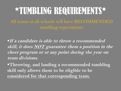# \*TUMBLING REQUIREMENTS\*

All teams at all schools will have RECOMMENDED tumbling expectations

§**If a candidate is able to throw a recommended skill, it does NOT guarantee them a position in the cheer program or at any point during the year on team divisions.**

§**Throwing, and landing a recommended tumbling skill only allows them to be eligible to be considered for that corresponding team.**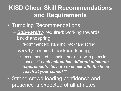#### **KISD Cheer Skill Recommendations and Requirements**

- Tumbling Recommendations:
	- *Sub-varsity* required: working towards backhandspring;
		- recommended: standing backhandspring
	- *Varsity-* required: backhandspring;
		- recommended: standing backtuck with poms in hands *\*\* each school has different minimum requirements- be sure to check with the head coach at your school \*\**
- Strong crowd leading confidence and presence is expected of all athletes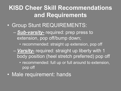#### **KISD Cheer Skill Recommendations and Requirements**

- Group Stunt REQUIREMENTS:
	- *Sub-varsity-* required: prep press to extension, pop off/bump down;
		- recommended: straight up extension, pop off
	- *Varsity-* required: straight up liberty with 1 body position (heel stretch preferred) pop off
		- recommended: full up or full around to extension, pop off
- Male requirement: hands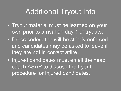### Additional Tryout Info

- Tryout material must be learned on your own prior to arrival on day 1 of tryouts.
- Dress code/attire will be strictly enforced and candidates may be asked to leave if they are not in correct attire.
- Injured candidates must email the head coach ASAP to discuss the tryout procedure for injured candidates.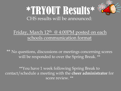

### \*TRYOUT Results\* CHS results will be announced:

#### Friday, March  $12<sup>th</sup>$  @ 4:00PM posted on each schools communication format

\*\* No questions, discussions or meetings concerning scores will be responded to over the Spring Break. \*\*

\*\*You have 1 week following Spring Break to contact/schedule a meeting with the **cheer administrator** for score review. \*\*